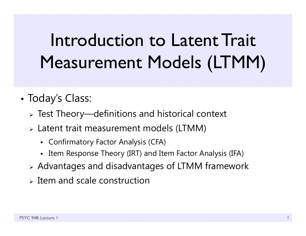# Introduction to Latent Trait Measurement Models (LTMM)

- • Today's Class:
	- $\triangleright$  Test Theory—definitions and historical context
	- Latent trait measurement models (LTMM)
		- Confirmatory Factor Analysis (CFA)
		- Item Response Theory (IRT) and Item Factor Analysis (IFA)
	- Advantages and disadvantages of LTMM framework
	- $\triangleright$  Item and scale construction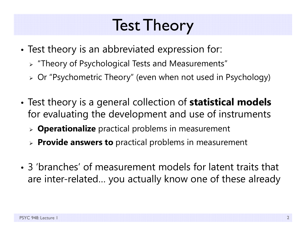#### Test Theory

- • Test theory is an abbreviated expression for:
	- "Theory of Psychological Tests and Measurements"
	- Or "Psychometric Theory" (even when not used in Psychology)
- • Test theory is a general collection of **statistical models**  for evaluating the development and use of instruments
	- **Operationalize** practical problems in measurement
	- **Provide answers to** practical problems in measurement
- 3 'branches' of measurement models for latent traits that are inter-related… you actually know one of these already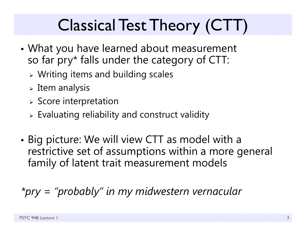# Classical Test Theory (CTT)

- • What you have learned about measurement so far pry\* falls under the category of CTT:
	- Writing items and building scales
	- $\triangleright$  Item analysis
	- $\triangleright$  Score interpretation
	- $\triangleright$  Evaluating reliability and construct validity
- • Big picture: We will view CTT as model with a restrictive set of assumptions within a more general family of latent trait measurement models

*\*pry = "probably" in my midwestern vernacular*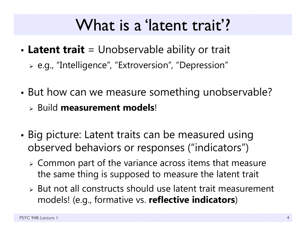#### What is a 'latent trait'?

- • **Latent trait** = Unobservable ability or trait
	- e.g., "Intelligence", "Extroversion", "Depression"
- • But how can we measure something unobservable? Build **measurement models**!
- • Big picture: Latent traits can be measured using observed behaviors or responses ("indicators")
	- $\triangleright$  Common part of the variance across items that measure the same thing is supposed to measure the latent trait
	- $\triangleright$  But not all constructs should use latent trait measurement models! (e.g., formative vs. **reflective indicators**)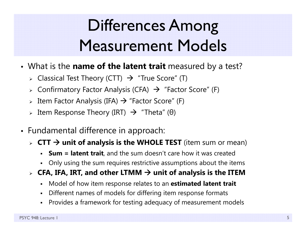# Differences Among Measurement Models

- What is the **name of the latent trait** measured by a test?
	- $\triangleright$   $\,$  Classical Test Theory (CTT)  $\, \rightarrow \, \,$  "True Score" (T)
	- $\triangleright$  Confirmatory Factor Analysis (CFA)  $\,\,\rightarrow\,$  "Factor Score" (F)
	- $\triangleright$  Item Factor Analysis (IFA)  $\rightarrow$  "Factor Score" (F)
	- > Item Response Theory (IRT)  $\;\rightarrow\;$  "Theta" (θ)
- Fundamental difference in approach:
	- **CTT unit of analysis is the WHOLE TEST** (item sum or mean)
		- n **Sum = latent trait**, and the sum doesn't care how it was created
		- Only using the sum requires restrictive assumptions about the items
	- $\triangleright$  CFA, IFA, IRT, and other LTMM  $\rightarrow$  unit of analysis is the ITEM
		- n Model of how item response relates to an **estimated latent trait**
		- n Different names of models for differing item response formats
		- n Provides a framework for testing adequacy of measurement models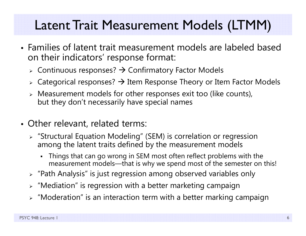#### Latent Trait Measurement Models (LTMM)

- Families of latent trait measurement models are labeled based on their indicators' response format:
	- $\triangleright$  Continuous responses?  $\rightarrow$  Confirmatory Factor Models
	- $\triangleright$  Categorical responses?  $\rightarrow$  Item Response Theory or Item Factor Models
	- $\triangleright$  Measurement models for other responses exit too (like counts), but they don't necessarily have special names
- Other relevant, related terms:
	- "Structural Equation Modeling" (SEM) is correlation or regression among the latent traits defined by the measurement models
		- Things that can go wrong in SEM most often reflect problems with the measurement models—that is why we spend most of the semester on this!
	- $\triangleright$  "Path Analysis" is just regression among observed variables only
	- $\triangleright$  "Mediation" is regression with a better marketing campaign
	- $\triangleright$  "Moderation" is an interaction term with a better marking campaign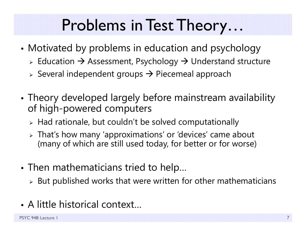## Problems in Test Theory…

- • Motivated by problems in education and psychology
	- $\triangleright$  Education  $\rightarrow$  Assessment, Psychology  $\rightarrow$  Understand structure
	- $\triangleright$  Several independent groups  $\rightarrow$  Piecemeal approach
- • Theory developed largely before mainstream availability of high-powered computers
	- $\triangleright$  Had rationale, but couldn't be solved computationally
	- That's how many 'approximations' or 'devices' came about (many of which are still used today, for better or for worse)
- • $\bullet$  Then mathematicians tried to help...
	- $\triangleright$  But published works that were written for other mathematicians
- A little historical context…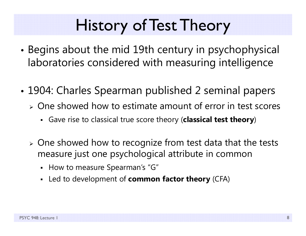# History of Test Theory

- • Begins about the mid 19th century in psychophysical laboratories considered with measuring intelligence
- • 1904: Charles Spearman published 2 seminal papers
	- $\triangleright$  One showed how to estimate amount of error in test scores
		- Gave rise to classical true score theory (**classical test theory**)
	- $\triangleright$  One showed how to recognize from test data that the tests measure just one psychological attribute in common
		- How to measure Spearman's "G"
		- Led to development of **common factor theory** (CFA)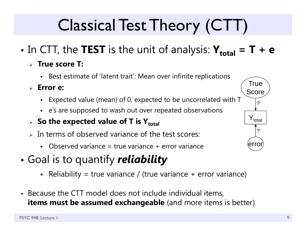# Classical Test Theory (CTT)

- •• In CTT, the **TEST** is the unit of analysis:  $\mathbf{Y}_{total} = \mathbf{T} + \mathbf{e}$ 
	- **True score T:**
		- Best estimate of 'latent trait': Mean over infinite replications
	- **Error e:**
		- Expected value (mean) of 0, expected to be uncorrelated with T
		- <sup>e</sup>'s are supposed to wash out over repeated observations
	- **> So the expected value of T is Y** $_{\text{total}}$
	- $\triangleright$  In terms of observed variance of the test scores:
		- Observed variance = true variance + error variance
- • Goal is to quantify *reliability*
	- Reliability = true variance / (true variance + error variance)
- Because the CTT model does not include individual items, **items must be assumed exchangeable** (and more items is better)

 $\mathsf{Y}_{\mathsf{total}}$ 

?

error

True

Score

?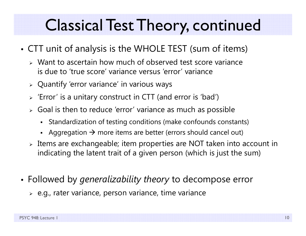## Classical Test Theory, continued

- • CTT unit of analysis is the WHOLE TEST (sum of items)
	- Want to ascertain how much of observed test score variance is due to 'true score' variance versus 'error' variance
	- $\triangleright$  Quantify 'error variance' in various ways
	- $\triangleright$  'Error' is a unitary construct in CTT (and error is 'bad')
	- $\triangleright$  Goal is then to reduce 'error' variance as much as possible
		- $\blacksquare$ Standardization of testing conditions (make confounds constants)
		- Aggregation  $\rightarrow$  more items are better (errors should cancel out)
	- $\triangleright$  Items are exchangeable; item properties are NOT taken into account in indicating the latent trait of a given person (which is just the sum)
- Followed by *generalizability theory* to decompose error
	- $\triangleright$  e.g., rater variance, person variance, time variance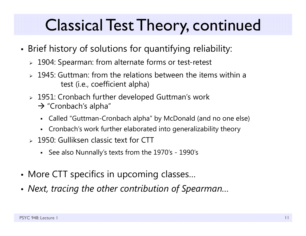## Classical Test Theory, continued

- • Brief history of solutions for quantifying reliability:
	- 1904: Spearman: from alternate forms or test-retest
	- $\geq 1945$ : Guttman: from the relations between the items within a test (i.e., coefficient alpha)
	- 1951: Cronbach further developed Guttman's work  $\rightarrow$  "Cronbach's alpha"
		- $\blacksquare$ Called "Guttman-Cronbach alpha" by McDonald (and no one else)
		- Cronbach's work further elaborated into generalizability theory
	- 1950: Gulliksen classic text for CTT
		- See also Nunnally's texts from the 1970's 1990's
- •More CTT specifics in upcoming classes…
- •*Next, tracing the other contribution of Spearman…*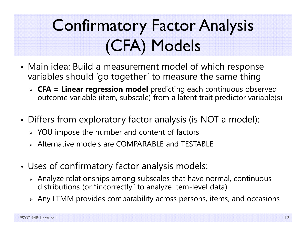# Confirmatory Factor Analysis (CFA) Models

- • Main idea: Build a measurement model of which response variables should 'go together' to measure the same thing
	- **CFA = Linear regression model** predicting each continuous observed outcome variable (item, subscale) from a latent trait predictor variable(s)
- • Differs from exploratory factor analysis (is NOT a model):
	- $\triangleright$  YOU impose the number and content of factors
	- Alternative models are COMPARABLE and TESTABLE
- • Uses of confirmatory factor analysis models:
	- $\triangleright$  Analyze relationships among subscales that have normal, continuous distributions (or "incorrectly" to analyze item-level data)
	- $\triangleright$  Any LTMM provides comparability across persons, items, and occasions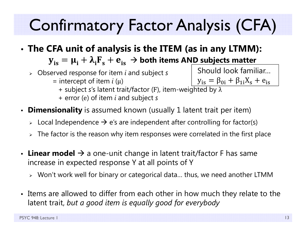# Confirmatory Factor Analysis (CFA)

- • **The CFA unit of analysis is the ITEM (as in any LTMM):**  ${\bf y}_{\rm is} = {\bf \mu}_{\rm i} + {\bf \lambda}_{\rm i} {\bf F}_{\rm s} + {\bf e}_{\rm is} \, \to$  both items AN<u>D subjects matter</u>
	- Observed response for item *i* and subject *s*
		- = intercept of item *i* (μ)
- + subject *<sup>s</sup>*'s latent trait/factor ( <sup>F</sup>), item-weighted by λ  $y_{is} = \beta_{0i} + \beta_{1i}X_s + e_{is}$ 
	- + error ( <sup>e</sup>) of item *i* and subject *s*
- **Dimensionality** is assumed known (usually 1 latent trait per item)
	- $\triangleright$  Local Independence  $\rightarrow$  e's are independent after controlling for factor(s)
	- $\triangleright\;$  The factor is the reason why item responses were correlated in the first place
- Linear model  $\rightarrow$  a one-unit change in latent trait/factor F has same increase in expected response Y at all points of Y
	- Won't work well for binary or categorical data… thus, we need another LTMM
- Items are allowed to differ from each other in how much they relate to the latent trait, *but a good item is equally good for everybody*

Should look familiar…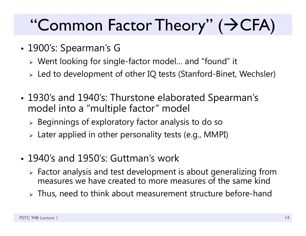# "Common Factor Theory" (+CFA)

- 1900's: Spearman's G
	- Went looking for single-factor model… and "found" it
	- Led to development of other IQ tests (Stanford-Binet, Wechsler)
- • 1930's and 1940's: Thurstone elaborated Spearman's model into a "multiple factor" model
	- $\triangleright$  Beginnings of exploratory factor analysis to do so
	- Later applied in other personality tests (e.g., MMPI)
- 1940's and 1950's: Guttman's work
	- $\triangleright$  Factor analysis and test development is about generalizing from measures we have created to more measures of the same kind
	- $\triangleright$  Thus, need to think about measurement structure before-hand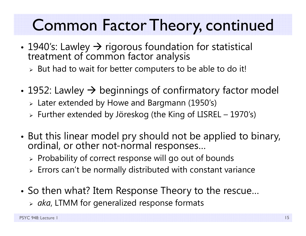## Common Factor Theory, continued

- •• 1940's: Lawley → rigorous foundation for statistical treatment of common factor analysis
	- $\triangleright$  But had to wait for better computers to be able to do it!
- • $\bullet$  1952: Lawley  $\bm{\rightarrow}$  beginnings of confirmatory factor model
	- Later extended by Howe and Bargmann (1950's)
	- Further extended by Jöreskog (the King of LISREL 1970's)
- •• But this linear model pry should not be applied to binary,<br>ordinal, or other not-normal responses…
	- $\triangleright$  Probability of correct response will go out of bounds
	- $\triangleright$  Errors can't be normally distributed with constant variance
- • So then what? Item Response Theory to the rescue…
	- *aka*, LTMM for generalized response formats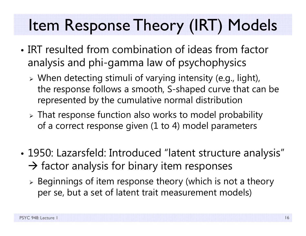## Item Response Theory (IRT) Models

- IRT resulted from combination of ideas from factor analysis and phi-gamma law of psychophysics
	- When detecting stimuli of varying intensity (e.g., light), the response follows a smooth, S-shaped curve that can be represented by the cumulative normal distribution
	- That response function also works to model probability of a correct response given (1 to 4) model parameters
- • 1950: Lazarsfeld: Introduced "latent structure analysis"  $\rightarrow$  factor analysis for binary item responses
	- $\triangleright$  Beginnings of item response theory (which is not a theory) per se, but a set of latent trait measurement models)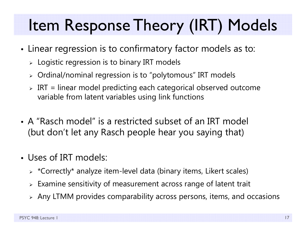# Item Response Theory (IRT) Models

- • Linear regression is to confirmatory factor models as to:
	- $\triangleright\;$  Logistic regression is to binary IRT models
	- $\triangleright$   $\,$  Ordinal/nominal regression is to "polytomous" IRT models
	- $\triangleright$  IRT = linear model predicting each categorical observed outcome variable from latent variables using link functions
- A "Rasch model" is a restricted subset of an IRT model (but don't let any Rasch people hear you saying that)
- Uses of IRT models:
	- $\triangleright$   $\,$  \*Correctly\* analyze item-level data (binary items, Likert scales)
	- $\triangleright$  Examine sensitivity of measurement across range of latent trait
	- $\triangleright$  Any LTMM provides comparability across persons, items, and occasions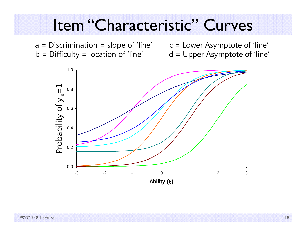#### Item "Characteristic" Curves

 $a =$  Discrimination = slope of 'line'  $c =$  Lower Asymptote of 'line'  $b =$  Difficulty = location of 'line'  $d =$  Upper Asymptote of 'line'

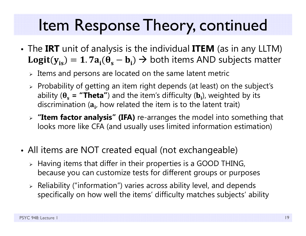## Item Response Theory, continued

- The **IRT** unit of analysis is the individual **ITEM** (as in any LLTM)  $Logit(y_{is}) = 1.7a_i(\theta_s - b_i) \rightarrow$  both items AND subjects matter
	- $\triangleright$  Items and persons are located on the same latent metric
	- $\triangleright$  Probability of getting an item right depends (at least) on the subject's ability ( $\theta_{\rm s}$  = **"Theta"**) and the item's difficulty (**b**<sub>i</sub>), weighted by its discrimination ( $\mathbf{a}_{\mathbf{i}'}$  how related the item is to the latent trait)
	- **"Item factor analysis" (IFA)** re-arranges the model into something that looks more like CFA (and usually uses limited information estimation)
- All items are NOT created equal (not exchangeable)
	- $\triangleright$  Having items that differ in their properties is a GOOD THING, because you can customize tests for different groups or purposes
	- $\triangleright$  Reliability ("information") varies across ability level, and depends specifically on how well the items' difficulty matches subjects' ability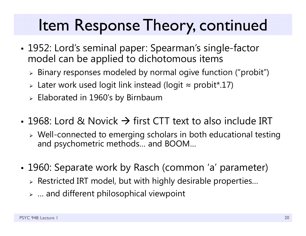## Item Response Theory, continued

- • 1952: Lord's seminal paper: Spearman's single-factor model can be applied to dichotomous items
	- $\triangleright$  Binary responses modeled by normal ogive function ("probit")
	- $\triangleright$  Later work used logit link instead (logit  $\approx$  probit\*.17)
	- $\triangleright$  Elaborated in 1960's by Birnbaum
- 1968: Lord & Novick  $\rightarrow$  first CTT text to also include IRT
	- Well-connected to emerging scholars in both educational testing and psychometric methods… and BOOM…
- • 1960: Separate work by Rasch (common 'a' parameter)
	- $\triangleright$  Restricted IRT model, but with highly desirable properties...
	- $\triangleright$  … and different philosophical viewpoint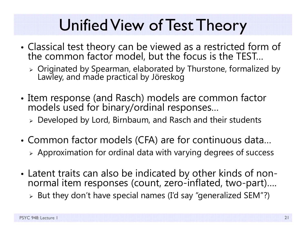## Unified View of Test Theory

- • Classical test theory can be viewed as a restricted form of the common factor model, but the focus is the TEST…
	- Originated by Spearman, elaborated by Thurstone, formalized by Lawley, and made practical by Jöreskog
- • Item response (and Rasch) models are common factor models used for binary/ordinal responses…
	- Developed by Lord, Birnbaum, and Rasch and their students
- • Common factor models (CFA) are for continuous data… Approximation for ordinal data with varying degrees of success
- Latent traits can also be indicated by other kinds of nonnormal item responses (count, zero-inflated, two-part)....
	- $\triangleright$  But they don't have special names (I'd say "generalized SEM"?)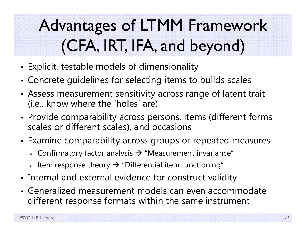# Advantages of LTMM Framework (CFA, IRT, IFA, and beyond)

- •Explicit, testable models of dimensionality
- •Concrete guidelines for selecting items to builds scales
- • Assess measurement sensitivity across range of latent trait (i.e., know where the 'holes' are)
- • Provide comparability across persons, items (different forms scales or different scales), and occasions
- Examine comparability across groups or repeated measures
	- $\triangleright$  Confirmatory factor analysis  $\rightarrow$  "Measurement invariance"
	- $\triangleright$  Item response theory  $\rightarrow$  "Differential item functioning"
- •Internal and external evidence for construct validity
- Generalized measurement models can even accommodate different response formats within the same instrument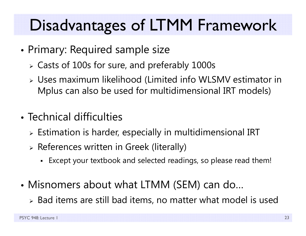# Disadvantages of LTMM Framework

- • Primary: Required sample size
	- Casts of 100s for sure, and preferably 1000s
	- Uses maximum likelihood (Limited info WLSMV estimator in Mplus can also be used for multidimensional IRT models)
- Technical difficulties
	- $\triangleright$  Estimation is harder, especially in multidimensional IRT
	- $\triangleright$  References written in Greek (literally)
		- Except your textbook and selected readings, so please read them!
- • Misnomers about what LTMM (SEM) can do…
	- $\triangleright$  Bad items are still bad items, no matter what model is used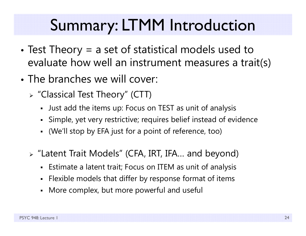## Summary: LTMM Introduction

- • Test Theory = a set of statistical models used to evaluate how well an instrument measures a trait(s)
- The branches we will cover:
	- "Classical Test Theory" (CTT)
		- Just add the items up: Focus on TEST as unit of analysis
		- Simple, yet very restrictive; requires belief instead of evidence
		- (We'll stop by EFA just for a point of reference, too)
	- "Latent Trait Models" (CFA, IRT, IFA… and beyond)
		- Estimate a latent trait; Focus on ITEM as unit of analysis
		- Flexible models that differ by response format of items
		- More complex, but more powerful and useful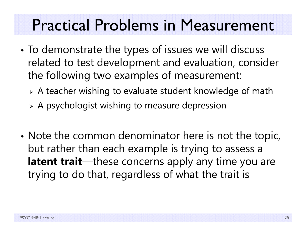#### Practical Problems in Measurement

- • To demonstrate the types of issues we will discuss related to test development and evaluation, consider the following two examples of measurement:
	- A teacher wishing to evaluate student knowledge of math
	- $\triangleright$  A psychologist wishing to measure depression
- •• Note the common denominator here is not the topic, but rather than each example is trying to assess a latent trait—these concerns apply any time you are trying to do that, regardless of what the trait is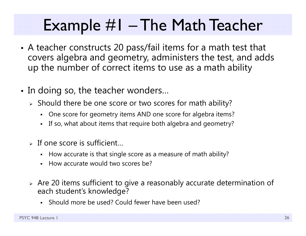#### Example #1 – The Math Teacher

- • A teacher constructs 20 pass/fail items for a math test that covers algebra and geometry, administers the test, and adds up the number of correct items to use as a math ability
- In doing so, the teacher wonders…
	- $\triangleright$  Should there be one score or two scores for math ability?
		- n One score for geometry items AND one score for algebra items?
		- If so, what about items that require both algebra and geometry?
	- $\triangleright$  If one score is sufficient...
		- How accurate is that single score as a measure of math ability?
		- n How accurate would two scores be?
	- $\triangleright$  Are 20 items sufficient to give a reasonably accurate determination of each student's knowledge?
		- n Should more be used? Could fewer have been used?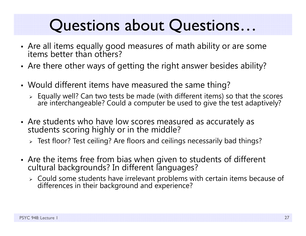#### Questions about Questions…

- Are all items equally good measures of math ability or are some<br>items better than others?
- Are there other ways of getting the right answer besides ability?
- Would different items have measured the same thing?
	- $\triangleright$  Equally well? Can two tests be made (with different items) so that the scores are interchangeable? Could a computer be used to give the test adaptively?
- Are students who have low scores measured as accurately as students scoring highly or in the middle?
	- Test floor? Test ceiling? Are floors and ceilings necessarily bad things?
- Are the items free from bias when given to students of different<br>cultural backgrounds? In different languages?
	- Could some students have irrelevant problems with certain items because of differences in their background and experience?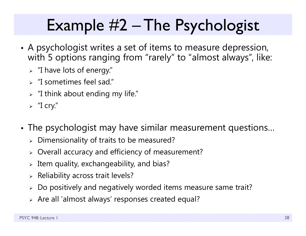# Example #2 – The Psychologist

- • A psychologist writes a set of items to measure depression, with 5 options ranging from "rarely" to "almost always", like:
	- $\triangleright$  "I have lots of energy."
	- "I sometimes feel sad."
	- $\triangleright$  "I think about ending my life."
	- $\triangleright$  "I cry."
- The psychologist may have similar measurement questions…
	- $\triangleright$  Dimensionality of traits to be measured?
	- Overall accuracy and efficiency of measurement?
	- $\triangleright$  Item quality, exchangeability, and bias?
	- $\triangleright$  Reliability across trait levels?
	- $\triangleright$  Do positively and negatively worded items measure same trait?
	- $\triangleright$  Are all 'almost always' responses created equal?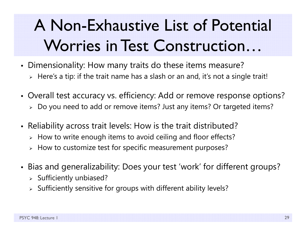# A Non-Exhaustive List of Potential Worries in Test Construction…

- Dimensionality: How many traits do these items measure?
	- $\triangleright\;$  Here's a tip: if the trait name has a slash or an and, it's not a single trait!
- Overall test accuracy vs. efficiency: Add or remove response options?
	- Do you need to add or remove items? Just any items? Or targeted items?
- Reliability across trait levels: How is the trait distributed?
	- $\triangleright\;$  How to write enough items to avoid ceiling and floor effects?
	- $\triangleright\;$  How to customize test for specific measurement purposes?
- Bias and generalizability: Does your test 'work' for different groups?
	- $\triangleright$  Sufficiently unbiased?
	- $\triangleright$  Sufficiently sensitive for groups with different ability levels?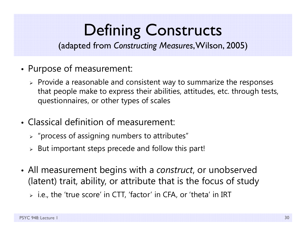# Defining Constructs

(adapted from *Constructing Measures*, Wilson, 2005)

- • Purpose of measurement:
	- $\triangleright$  Provide a reasonable and consistent way to summarize the responses that people make to express their abilities, attitudes, etc. through tests, questionnaires, or other types of scales
- Classical definition of measurement:
	- $\triangleright$  "process of assigning numbers to attributes"
	- $\triangleright$  But important steps precede and follow this part!
- All measurement begins with a *construct*, or unobserved (latent) trait, ability, or attribute that is the focus of study
	- i.e., the 'true score' in CTT, 'factor' in CFA, or 'theta' in IRT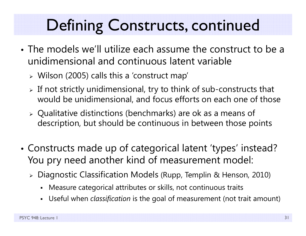# Defining Constructs, continued

- The models we'll utilize each assume the construct to be a unidimensional and continuous latent variable
	- Wilson (2005) calls this a 'construct map'
	- $\triangleright$  If not strictly unidimensional, try to think of sub-constructs that would be unidimensional, and focus efforts on each one of those
	- Qualitative distinctions (benchmarks) are ok as a means of description, but should be continuous in between those points
- • Constructs made up of categorical latent 'types' instead? You pry need another kind of measurement model:
	- Diagnostic Classification Models (Rupp, Templin & Henson, 2010)
		- Measure categorical attributes or skills, not continuous traits
		- Г Useful when *classification* is the goal of measurement (not trait amount)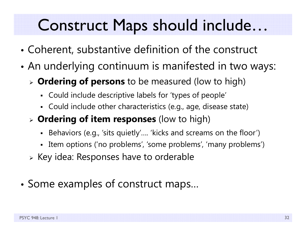## Construct Maps should include…

- •Coherent, substantive definition of the construct
- • An underlying continuum is manifested in two ways:
	- **Ordering of persons** to be measured (low to high)
		- Could include descriptive labels for 'types of people'
		- Could include other characteristics (e.g., age, disease state)
	- **Ordering of item responses** (low to high)
		- Behaviors (e.g., 'sits quietly'…. 'kicks and screams on the floor')
		- $\blacksquare$ Item options ('no problems', 'some problems', 'many problems')
	- $\triangleright$  Key idea: Responses have to orderable
- •Some examples of construct maps…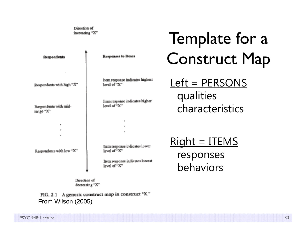Direction of increasing "X"

| Responses to Henri                                                                              | Template for a<br><b>Construct Map</b>         |
|-------------------------------------------------------------------------------------------------|------------------------------------------------|
| ltem response indicates highest<br>levd of "X"<br>Item response indicates higher<br>levi of "X" | Left = PERSONS<br>qualities<br>characteristics |
| н<br>×,<br>$\mathbf{a}$<br>Item response indicates lower                                        | $Right = ITEMS$                                |

Respondents with low "X"

**Respondents** 

Respondents with high "X"

Respondents with mid-

range "X"

level of "X"

hem response indicates lowest level of "X"

Direction of decreasing "X"

FIG. 2.1 A generic construct map in construct "X." From Wilson (2005)

<u>Right = ITEMS</u> responses behaviors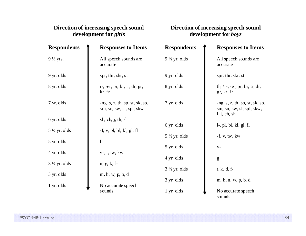#### **Direction of increasing speech sound development for** *girls*

#### **Direction of increasing speech sound development for** *boys*

sounds

| <b>Respondents</b>      | <b>Responses to Items</b>                                                 | <b>Respondents</b>      | <b>Responses to Items</b>                                                                                                                                                                                                                                                                                                                                                                                                      |
|-------------------------|---------------------------------------------------------------------------|-------------------------|--------------------------------------------------------------------------------------------------------------------------------------------------------------------------------------------------------------------------------------------------------------------------------------------------------------------------------------------------------------------------------------------------------------------------------|
| 9 ½ yrs.                | All speech sounds are<br>accurate                                         | $9\frac{1}{2}$ yr. olds | All speech sounds are<br>accurate                                                                                                                                                                                                                                                                                                                                                                                              |
| 9 yr. olds              | spr, thr, skr, str                                                        | 9 yr. olds              | spr, thr, skr, str                                                                                                                                                                                                                                                                                                                                                                                                             |
| 8 yr. olds              | $r$ -, -er, pr, br, tr, dr, gr,<br>kr, fr                                 | 8 yr. olds              | th, $\vert r$ -, -er, pr, br, tr, dr,<br>gr, kr, fr                                                                                                                                                                                                                                                                                                                                                                            |
| 7 yr, olds              | -ng, s, z, $\underline{th}$ , sp, st, sk, sp,<br>sm, sn, sw, sl, spl, skw | 7 yr, olds              | -ng, s, z, $\underline{\text{th}}$ , sp, st, sk, sp,<br>sm, sn, sw, sl, spl, skw, -                                                                                                                                                                                                                                                                                                                                            |
| 6 yr. olds              | sh, ch, j, th, $-1$                                                       |                         | l, j, ch, sh                                                                                                                                                                                                                                                                                                                                                                                                                   |
| $5\frac{1}{2}$ yr. olds | $-f, v, pl, bl, kl, gl, fl$                                               | 6 yr. olds              | $l$ -, pl, bl, kl, gl, fl                                                                                                                                                                                                                                                                                                                                                                                                      |
| 5 yr. olds              | $1-$                                                                      | $5\frac{1}{2}$ yr. olds | $-f, v, tw, kw$                                                                                                                                                                                                                                                                                                                                                                                                                |
|                         |                                                                           | 5 yr. olds              | $y-$                                                                                                                                                                                                                                                                                                                                                                                                                           |
| 4 yr. olds              | $y$ -, t, tw, kw                                                          | 4 yr. olds              |                                                                                                                                                                                                                                                                                                                                                                                                                                |
| $3\frac{1}{2}$ yr. olds | $n, g, k, f$ -                                                            |                         | $\mathbf{g}% _{T}=\mathbf{g}_{T}=\mathbf{g}_{T}=\mathbf{g}_{T}=\mathbf{g}_{T}=\mathbf{g}_{T}=\mathbf{g}_{T}=\mathbf{g}_{T}=\mathbf{g}_{T}=\mathbf{g}_{T}=\mathbf{g}_{T}=\mathbf{g}_{T}=\mathbf{g}_{T}=\mathbf{g}_{T}=\mathbf{g}_{T}=\mathbf{g}_{T}=\mathbf{g}_{T}=\mathbf{g}_{T}=\mathbf{g}_{T}=\mathbf{g}_{T}=\mathbf{g}_{T}=\mathbf{g}_{T}=\mathbf{g}_{T}=\mathbf{g}_{T}=\mathbf{g}_{T}=\mathbf{g}_{T}=\mathbf{g}_{T}=\math$ |
|                         |                                                                           | $3\frac{1}{2}$ yr. olds | $t, k, d, f$ -                                                                                                                                                                                                                                                                                                                                                                                                                 |
| 3 yr. olds              | m, h, w, p, b, d                                                          | 3 yr. olds              | m, h, n, w, p, b, d                                                                                                                                                                                                                                                                                                                                                                                                            |
| 1 yr. olds              | No accurate speech                                                        |                         |                                                                                                                                                                                                                                                                                                                                                                                                                                |
|                         | sounds                                                                    | 1 yr. olds              | No accurate speech                                                                                                                                                                                                                                                                                                                                                                                                             |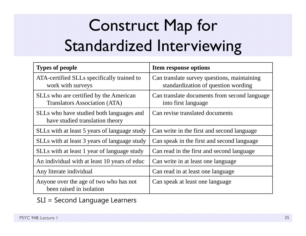# Construct Map for Standardized Interviewing

| <b>Types of people</b>                                                         | Item response options                                                              |  |
|--------------------------------------------------------------------------------|------------------------------------------------------------------------------------|--|
| ATA-certified SLLs specifically trained to<br>work with surveys                | Can translate survey questions, maintaining<br>standardization of question wording |  |
| SLLs who are certified by the American<br><b>Translators Association (ATA)</b> | Can translate documents from second language<br>into first language                |  |
| SLLs who have studied both languages and<br>have studied translation theory    | Can revise translated documents                                                    |  |
| SLLs with at least 5 years of language study                                   | Can write in the first and second language                                         |  |
| SLLs with at least 3 years of language study                                   | Can speak in the first and second language                                         |  |
| SLLs with at least 1 year of language study                                    | Can read in the first and second language                                          |  |
| An individual with at least 10 years of educ                                   | Can write in at least one language                                                 |  |
| Any literate individual                                                        | Can read in at least one language                                                  |  |
| Anyone over the age of two who has not<br>been raised in isolation             | Can speak at least one language                                                    |  |

SLI = Second Language Learners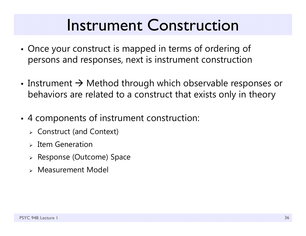### Instrument Construction

- • Once your construct is mapped in terms of ordering of persons and responses, next is instrument construction
- Instrument  $\rightarrow$  Method through which observable responses or behaviors are related to a construct that exists only in theory
- • 4 components of instrument construction:
	- Construct (and Context)
	- $\triangleright$  Item Generation
	- Response (Outcome) Space
	- Measurement Model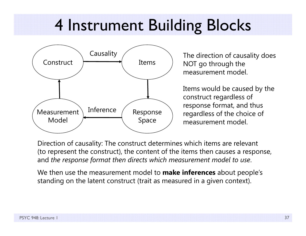# 4 Instrument Building Blocks



NOT go through the measurement model.

Items would be caused by the construct regardless of response format, and thus regardless of the choice of measurement model.

Direction of causality: The construct determines which items are relevant (to represent the construct), the content of the items then causes a response, and *the response format then directs which measurement model to use*.

We then use the measurement model to **make inferences** about people's standing on the latent construct (trait as measured in a given context).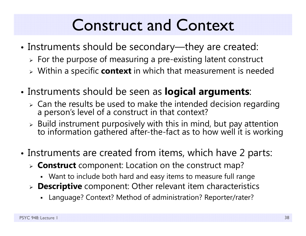## Construct and Context

- • Instruments should be secondary—they are created:
	- $\triangleright$  For the purpose of measuring a pre-existing latent construct
	- Within a specific **context** in which that measurement is needed
- • Instruments should be seen as **logical arguments**:
	- > Can the results be used to make the intended decision regarding a person's level of a construct in that context?
	- $\triangleright$  Build instrument purposively with this in mind, but pay attention to information gathered after-the-fact as to how well it is working
- •• Instruments are created from items, which have 2 parts:
	- **Construct** component: Location on the construct map?
		- Want to include both hard and easy items to measure full range
	- **Descriptive** component: Other relevant item characteristics
		- Language? Context? Method of administration? Reporter/rater?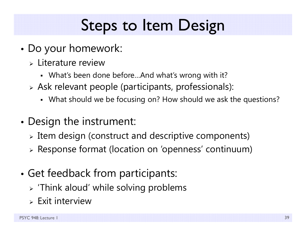# Steps to Item Design

- • Do your homework:
	- Literature review
		- What's been done before…And what's wrong with it?
	- Ask relevant people (participants, professionals):
		- What should we be focusing on? How should we ask the questions?
- • Design the instrument:
	- $\triangleright$  Item design (construct and descriptive components)
	- Response format (location on 'openness' continuum)
- • Get feedback from participants:
	- $\triangleright$  'Think aloud' while solving problems
	- $\triangleright$  Exit interview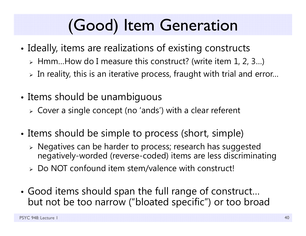# (Good) Item Generation

- • $\bullet$  Ideally, items are realizations of existing constructs
	- Hmm…How do I measure this construct? (write item 1, 2, 3…)
	- $\triangleright$  In reality, this is an iterative process, fraught with trial and error…
- • Items should be unambiguous
	- Cover a single concept (no 'ands') with a clear referent
- • $\bullet$  Items should be simple to process (short, simple)
	- Negatives can be harder to process; research has suggested negatively-worded (reverse-coded) items are less discriminating
	- Do NOT confound item stem/valence with construct!
- • Good items should span the full range of construct… but not be too narrow ("bloated specific") or too broad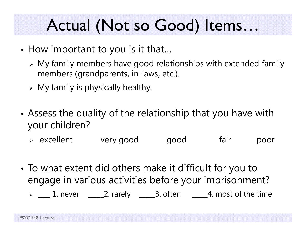# Actual (Not so Good) Items…

- • $\bullet$  How important to you is it that…
	- $\triangleright$  My family members have good relationships with extended family members (grandparents, in-laws, etc.).
	- $\triangleright$  My family is physically healthy.
- • Assess the quality of the relationship that you have with your children?
	- excellent very good good fair poor
- • To what extent did others make it difficult for you to engage in various activities before your imprisonment?
	- $\triangleright\ \_\_\_$ 1. never  $\_\_\_2$ . rarely  $\_\_\_3$ . often  $\_\_\_4$ . most of the time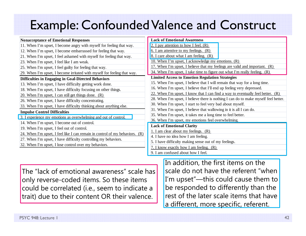#### Example: Confounded Valence and Construct

| <b>Nonacceptance of Emotional Responses</b>                                  | <b>Lack of Emotional Awareness</b>                                                  |
|------------------------------------------------------------------------------|-------------------------------------------------------------------------------------|
| 11. When I'm upset, I become angry with myself for feeling that way.         | 2. I pay attention to how I feel. $(R)$                                             |
| 12. When I'm upset, I become embarrassed for feeling that way.               | 6. I am attentive to my feelings. $(R)$                                             |
| 21. When I'm upset, I feel ashamed with myself for feeling that way.         | 8. I care about what I am feeling. $(R)$                                            |
| 23. When I'm upset, I feel like I am weak.                                   | 10. When I'm upset, I acknowledge my emotions. (R)                                  |
| 25. When I'm upset, I feel guilty for feeling that way.                      | 17. When I'm upset, I believe that my feelings are valid and important. (R)         |
| 29. When I'm upset, I become irritated with myself for feeling that way.     | 34. When I'm upset, I take time to figure out what I'm really feeling. (R)          |
| Difficulties in Engaging in Goal-Directed Behaviors                          | <b>Limited Access to Emotion Regulation Strategies</b>                              |
| 13. When I'm upset, I have difficulty getting work done.                     | 15. When I'm upset, I believe that I will remain that way for a long time.          |
| 18. When I'm upset, I have difficulty focusing on other things.              | 16. When I'm upset, I believe that I'll end up feeling very depressed.              |
| 20. When I'm upset, I can still get things done. $(R)$                       | 22. When I'm upset, I know that I can find a way to eventually feel better. $(R)$   |
| 26. When I'm upset, I have difficulty concentrating.                         | 28. When I'm upset, I believe there is nothing I can do to make myself feel better. |
| 33. When I'm upset, I have difficulty thinking about anything else.          | 30. When I'm upset, I start to feel very bad about myself.                          |
| <b>Impulse Control Difficulties</b>                                          | 31. When I'm upset, I believe that wallowing in it is all I can do.                 |
| 3. I experience my emotions as overwhelming and out of control.              | 35. When I'm upset, it takes me a long time to feel better.                         |
| 14. When I'm upset, I become out of control.                                 | 36. When I'm upset, my emotions feel overwhelming.                                  |
|                                                                              | <b>Lack of Emotional Clarity</b>                                                    |
| 19. When I'm upset, I feel out of control.                                   | 1. I am clear about my feelings. (R)                                                |
| 24. When I'm upset, I feel like I can remain in control of my behaviors. (R) | 4. I have no idea how I am feeling.                                                 |
| 27. When I'm upset, I have difficulty controlling my behaviors.              | 5. I have difficulty making sense out of my feelings.                               |
| 32. When I'm upset, I lose control over my behaviors.                        | 7. I know exactly how I am feeling. $(R)$                                           |
|                                                                              | 9. I am confused about how I feel.                                                  |

The "lack of emotional awareness" scale has only reverse-coded items. So these items could be correlated (i.e., seem to indicate a trait) due to their content OR their valence.

In addition, the first items on the scale do not have the referent "when I'm upset"—this could cause them to be responded to differently than the rest of the later scale items that have a different, more specific, referent.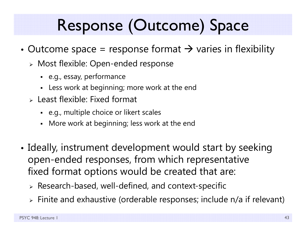# Response (Outcome) Space

- •• Outcome space = response format  $\rightarrow$  varies in flexibility
	- Most flexible: Open-ended response
		- e.g., essay, performance
		- Less work at beginning; more work at the end
	- $\triangleright$  Least flexible: Fixed format
		- e.g., multiple choice or likert scales
		- Г More work at beginning; less work at the end
- • $\bullet$  Ideally, instrument development would start by seeking  $\,$ open-ended responses, from which representative fixed format options would be created that are:
	- $\triangleright$  Research-based, well-defined, and context-specific
	- $\triangleright$  Finite and exhaustive (orderable responses; include n/a if relevant)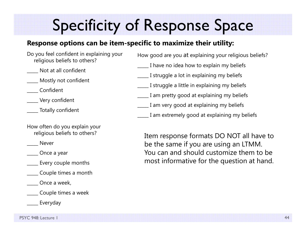# Specificity of Response Space

#### **Response options can be item-specific to maximize their utility:**

- Do you feel confident in explaining your religious beliefs to others?
- \_\_\_\_\_ Not at all confident
- \_\_\_\_\_ Mostly not confident
- \_\_\_\_\_ Confident
- \_\_\_\_\_ Very confident
- \_\_\_\_\_ Totally confident
- How often do you explain your religious beliefs to others?
- \_\_\_\_\_ Never

- \_\_\_\_\_ Every couple months
- \_\_\_\_\_ Couple times a month
- Once a week,
- \_\_\_\_\_ Couple times a week
	- \_\_\_\_\_ Everyday

How good are you at explaining your religious beliefs?

- \_\_\_\_\_ I have no idea how to explain my beliefs
- \_\_\_\_\_ I struggle a lot in explaining my beliefs
- \_\_\_\_\_ I struggle a little in explaining my beliefs
- \_\_\_\_\_ I am pretty good at explaining my beliefs
- \_\_\_\_\_ I am very good at explaining my beliefs
	- \_\_\_\_\_ I am extremely good at explaining my beliefs

Item response formats DO NOT all have to be the same if you are using an LTMM. You can and should customize them to be most informative for the question at hand.

\_\_\_\_\_ Once a year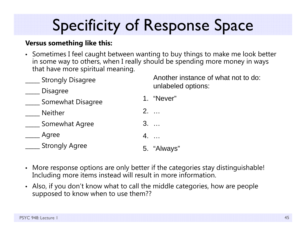# Specificity of Response Space

#### **Versus something like this:**

• Sometimes I feel caught between wanting to buy things to make me look better in some way to others, when I really should be spending more money in ways that have more spiritual meaning.

| <b>Strongly Disagree</b> | Another instance of what not to do:<br>unlabeled options: |
|--------------------------|-----------------------------------------------------------|
| <b>Disagree</b>          |                                                           |
| Somewhat Disagree        | 1. "Never"                                                |
| <b>Neither</b>           | $2. \ldots$                                               |
| Somewhat Agree           | $3. \ldots$                                               |
| Agree                    | 4.                                                        |
| <b>Strongly Agree</b>    | 5. "Always"                                               |
|                          |                                                           |

- More response options are only better if the categories stay distinguishable! Including more items instead will result in more information.
- Also, if you don't know what to call the middle categories, how are people supposed to know when to use them??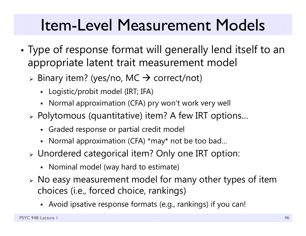## Item-Level Measurement Models

- • Type of response format will generally lend itself to an appropriate latent trait measurement model
	- $\triangleright$  Binary item? (yes/no, MC  $\rightarrow$  correct/not)
		- Logistic/probit model (IRT; IFA)
		- Normal approximation (CFA) pry won't work very well
	- $\triangleright$  Polytomous (quantitative) item? A few IRT options...
		- Graded response or partial credit model
		- Normal approximation (CFA) \*may\* not be too bad…
	- Unordered categorical item? Only one IRT option:
		- Nominal model (way hard to estimate)
	- No easy measurement model for many other types of item choices (i.e., forced choice, rankings)
		- Avoid ipsative response formats (e.g., rankings) if you can!